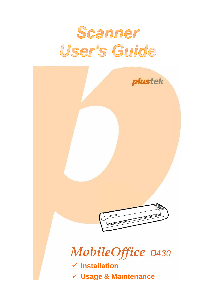# Scanner User's Guide

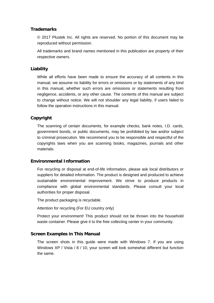#### **Trademarks**

© 2017 Plustek Inc. All rights are reserved. No portion of this document may be reproduced without permission.

All trademarks and brand names mentioned in this publication are property of their respective owners.

#### **Liability**

While all efforts have been made to ensure the accuracy of all contents in this manual, we assume no liability for errors or omissions or by statements of any kind in this manual, whether such errors are omissions or statements resulting from negligence, accidents, or any other cause. The contents of this manual are subject to change without notice. We will not shoulder any legal liability, if users failed to follow the operation instructions in this manual.

#### **Copyright**

The scanning of certain documents, for example checks, bank notes, I.D. cards, government bonds, or public documents, may be prohibited by law and/or subject to criminal prosecution. We recommend you to be responsible and respectful of the copyrights laws when you are scanning books, magazines, journals and other materials.

#### **Environmental Information**

For recycling or disposal at end-of-life information, please ask local distributors or suppliers for detailed information. The product is designed and produced to achieve sustainable environmental improvement. We strive to produce products in compliance with global environmental standards. Please consult your local authorities for proper disposal.

The product packaging is recyclable.

Attention for recycling (For EU country only)

Protect your environment! This product should not be thrown into the household waste container. Please give it to the free collecting center in your community.

#### **Screen Examples in This Manual**

The screen shots in this guide were made with Windows 7. If you are using Windows XP / Vista / 8 / 10, your screen will look somewhat different but function the same.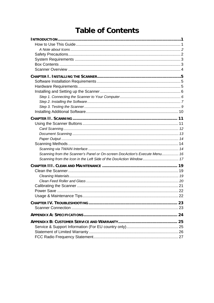# **Table of Contents**

| Scanning from the Scanner's Panel or On-screen DocAction's Execute Menu 16 |  |
|----------------------------------------------------------------------------|--|
|                                                                            |  |
|                                                                            |  |
|                                                                            |  |
|                                                                            |  |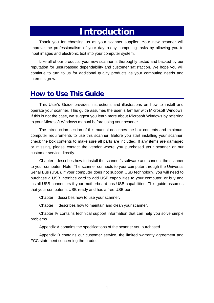# **Introduction**

<span id="page-3-0"></span>Thank you for choosing us as your scanner supplier. Your new scanner will improve the professionalism of your day-to-day computing tasks by allowing you to input images and electronic text into your computer system.

Like all of our products, your new scanner is thoroughly tested and backed by our reputation for unsurpassed dependability and customer satisfaction. We hope you will continue to turn to us for additional quality products as your computing needs and interests grow.

### **How to Use This Guide**

This User's Guide provides instructions and illustrations on how to install and operate your scanner. This guide assumes the user is familiar with Microsoft Windows. If this is not the case, we suggest you learn more about Microsoft Windows by referring to your Microsoft Windows manual before using your scanner.

The [Introduction](#page-3-0) section of this manual describes the box contents and minimum computer requirements to use this scanner. Before you start installing your scanner, check the box contents to make sure all parts are included. If any items are damaged or missing, please contact the vendor where you purchased your scanner or our customer service directly.

Chapter I describes how to install the scanner's software and connect the scanner to your computer. Note: The scanner connects to your computer through the Universal Serial Bus (USB). If your computer does not support USB technology, you will need to purchase a USB interface card to add USB capabilities to your computer, or buy and install USB connectors if your motherboard has USB capabilities. This guide assumes that your computer is USB-ready and has a free USB port.

Chapter II describes how to use your scanner.

Chapter III describes how to maintain and clean your scanner.

Chapter IV contains technical support information that can help you solve simple problems.

Appendix A contains the specifications of the scanner you purchased.

Appendix B contains our customer service, the limited warranty agreement and FCC statement concerning the product.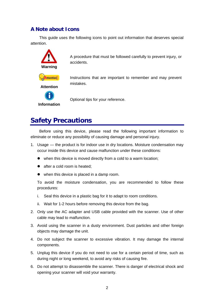#### <span id="page-4-0"></span>**A Note about Icons**

This guide uses the following icons to point out information that deserves special attention.



A procedure that must be followed carefully to prevent injury, or accidents.

Instructions that are important to remember and may prevent mistakes.



Optional tips for your reference.

# **Safety Precautions**

Before using this device, please read the following important information to eliminate or reduce any possibility of causing damage and personal injury.

- 1. Usage the product is for indoor use in dry locations. Moisture condensation may occur inside this device and cause malfunction under these conditions:
	- $\bullet$  when this device is moved directly from a cold to a warm location;
	- $\bullet$  after a cold room is heated;
	- $\bullet$  when this device is placed in a damp room.

To avoid the moisture condensation, you are recommended to follow these procedures:

- i. Seal this device in a plastic bag for it to adapt to room conditions.
- ii. Wait for 1-2 hours before removing this device from the bag.
- 2. Only use the AC adapter and USB cable provided with the scanner. Use of other cable may lead to malfunction.
- 3. Avoid using the scanner in a dusty environment. Dust particles and other foreign objects may damage the unit.
- 4. Do not subject the scanner to excessive vibration. It may damage the internal components.
- 5. Unplug this device if you do not need to use for a certain period of time, such as during night or long weekend, to avoid any risks of causing fire.
- 6. Do not attempt to disassemble the scanner. There is danger of electrical shock and opening your scanner will void your warranty.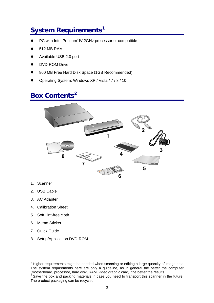# <span id="page-5-0"></span>**System Requirements[1](#page-5-1)**

- PC with Intel Pentium<sup>®</sup>IV 2GHz processor or compatible
- 512 MB RAM
- Available USB 2.0 port
- DVD-ROM Drive
- 800 MB Free Hard Disk Space (1GB Recommended)
- Operating System: Windows XP / Vista / 7 / 8 / 10

# **Box Contents[2](#page-5-2)**



- 1. Scanner
- 2. USB Cable
- 3. AC Adapter
- 4. Calibration Sheet
- 5. Soft, lint-free cloth
- 6. Memo Sticker
- 7. Quick Guide

 $\overline{a}$ 

8. Setup/Application DVD-ROM

<span id="page-5-1"></span><sup>1</sup> Higher requirements might be needed when scanning or editing a large quantity of image data. The system requirements here are only a guideline, as in general the better the computer (motherboard, processor, hard disk, RAM, video graphic card), the better the results.

<span id="page-5-2"></span>Save the box and packing materials in case you need to transport this scanner in the future. The product packaging can be recycled.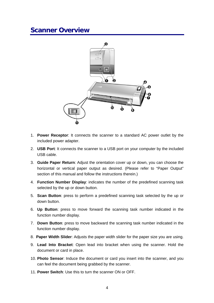### <span id="page-6-0"></span>**Scanner Overview**



- 1. **Power Receptor**: It connects the scanner to a standard AC power outlet by the included power adapter.
- 2. **USB Port**: It connects the scanner to a USB port on your computer by the included USB cable.
- 3. **Guide Paper Return**: Adjust the orientation cover up or down, you can choose the horizontal or vertical paper output as desired. (Please refer to "Paper Output" section of this manual and follow the instructions therein.)
- 4. **Function Number Display**: indicates the number of the predefined scanning task selected by the up or down button.
- 5. **Scan Button**: press to perform a predefined scanning task selected by the up or down button.
- 6. **Up Button**: press to move forward the scanning task number indicated in the function number display.
- 7. **Down Button**: press to move backward the scanning task number indicated in the function number display.
- 8. **Paper Width Slider**: Adjusts the paper width slider for the paper size you are using.
- 9. **Lead Into Bracket**: Open lead into bracket when using the scanner. Hold the document or card in place.
- 10. **Photo Sensor**: Induce the document or card you insert into the scanner, and you can feel the document being grabbed by the scanner.
- 11. **Power Switch**: Use this to turn the scanner ON or OFF.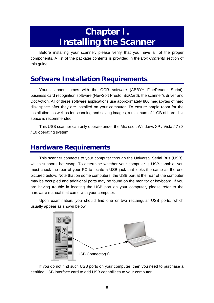# **Chapter I. Installing the Scanner**

<span id="page-7-0"></span>Before installing your scanner, please verify that you have all of the proper components. A list of the package contents is provided in the *Box Contents* section of this guide.

# **Software Installation Requirements**

Your scanner comes with the OCR software (ABBYY FineReader Sprint), business card recognition software (NewSoft Presto! BizCard), the scanner's driver and DocAction. All of these software applications use approximately 800 megabytes of hard disk space after they are installed on your computer. To ensure ample room for the installation, as well as for scanning and saving images, a minimum of 1 GB of hard disk space is recommended.

This USB scanner can only operate under the Microsoft Windows XP / Vista / 7 / 8 / 10 operating system.

### **Hardware Requirements**

This scanner connects to your computer through the Universal Serial Bus (USB), which supports hot swap. To determine whether your computer is USB-capable, you must check the rear of your PC to locate a USB jack that looks the same as the one pictured below. Note that on some computers, the USB port at the rear of the computer may be occupied and additional ports may be found on the monitor or keyboard. If you are having trouble in locating the USB port on your computer, please refer to the hardware manual that came with your computer.

Upon examination, you should find one or two rectangular USB ports, which usually appear as shown below.



If you do not find such USB ports on your computer, then you need to purchase a certified USB interface card to add USB capabilities to your computer.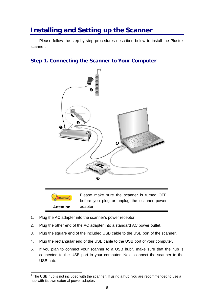# <span id="page-8-0"></span>**Installing and Setting up the Scanner**

Please follow the step-by-step procedures described below to install the Plustek scanner.

#### **Step 1. Connecting the Scanner to Your Computer**



Attention-**Attention** 

 $\overline{a}$ 

Please make sure the scanner is turned OFF before you plug or unplug the scanner power adapter.

- 1. Plug the AC adapter into the scanner's power receptor.
- 2. Plug the other end of the AC adapter into a standard AC power outlet.
- 3. Plug the square end of the included USB cable to the USB port of the scanner.
- 4. Plug the rectangular end of the USB cable to the USB port of your computer.
- 5. If you plan to connect your scanner to a USB hub<sup>[3](#page-8-1)</sup>, make sure that the hub is connected to the USB port in your computer. Next, connect the scanner to the USB hub.

<span id="page-8-1"></span> $3$  The USB hub is not included with the scanner. If using a hub, you are recommended to use a hub with its own external power adapter.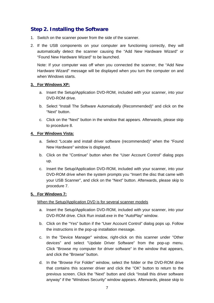#### <span id="page-9-0"></span>**Step 2. Installing the Software**

- 1. Switch on the scanner power from the side of the scanner.
- 2. If the USB components on your computer are functioning correctly, they will automatically detect the scanner causing the "Add New Hardware Wizard" or "Found New Hardware Wizard" to be launched.

Note: If your computer was off when you connected the scanner, the "Add New Hardware Wizard" message will be displayed when you turn the computer on and when Windows starts.

#### **3. For Windows XP:**

- a. Insert the Setup/Application DVD-ROM, included with your scanner, into your DVD-ROM drive.
- b. Select "Install The Software Automatically (Recommended)" and click on the "Next" button.
- c. Click on the "Next" button in the window that appears. Afterwards, please skip to procedure 8.

#### **4. For Windows Vista:**

- a. Select "Locate and install driver software (recommended)" when the "Found New Hardware" window is displayed.
- b. Click on the "Continue" button when the "User Account Control" dialog pops up.
- c. Insert the Setup/Application DVD-ROM, included with your scanner, into your DVD-ROM drive when the system prompts you "Insert the disc that came with your USB Scanner", and click on the "Next" button. Afterwards, please skip to procedure 7.

#### **5. For Windows 7:**

#### When the Setup/Application DVD is for several scanner models

- a. Insert the Setup/Application DVD-ROM, included with your scanner, into your DVD-ROM drive. Click Run install.exe in the "AutoPlay" window.
- b. Click on the "Yes" button if the "User Account Control" dialog pops up. Follow the instructions in the pop-up installation message.
- c. In the "Device Manager" window, right-click on this scanner under "Other devices" and select "Update Driver Software" from the pop-up menu. Click "Browse my computer for driver software" in the window that appears, and click the "Browse" button.
- d. In the "Browse For Folder" window, select the folder or the DVD-ROM drive that contains this scanner driver and click the "OK" button to return to the previous screen. Click the "Next" button and click "Install this driver software anyway" if the "Windows Security" window appears. Afterwards, please skip to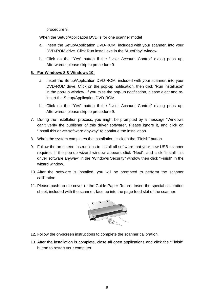procedure 9.

#### When the Setup/Application DVD is for one scanner model

- a. Insert the Setup/Application DVD-ROM, included with your scanner, into your DVD-ROM drive. Click Run install.exe in the "AutoPlay" window.
- b. Click on the "Yes" button if the "User Account Control" dialog pops up. Afterwards, please skip to procedure 9.

#### **6. For Windows 8 & Windows 10:**

- a. Insert the Setup/Application DVD-ROM, included with your scanner, into your DVD-ROM drive. Click on the pop-up notification, then click "Run install.exe" in the pop-up window. If you miss the pop-up notification, please eject and reinsert the Setup/Application DVD-ROM.
- b. Click on the "Yes" button if the "User Account Control" dialog pops up. Afterwards, please skip to procedure 9.
- 7. During the installation process, you might be prompted by a message "Windows can't verify the publisher of this driver software". Please ignore it, and click on "Install this driver software anyway" to continue the installation.
- 8. When the system completes the installation, click on the "Finish" button.
- 9. Follow the on-screen instructions to install all software that your new USB scanner requires. If the pop-up wizard window appears click "Next", and click "Install this driver software anyway" in the "Windows Security" window then click "Finish" in the wizard window.
- 10. After the software is installed, you will be prompted to perform the scanner calibration.
- 11. Please push up the cover of the Guide Paper Return. Insert the special calibration sheet, included with the scanner, face up into the page feed slot of the scanner.



- 12. Follow the on-screen instructions to complete the scanner calibration.
- 13. After the installation is complete, close all open applications and click the "Finish" button to restart your computer.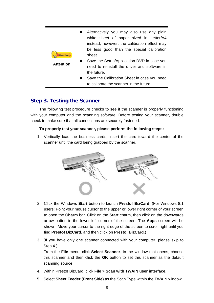<span id="page-11-0"></span>

| <b>ttention</b>  | Alternatively you may also use any plain<br>white sheet of paper sized in Letter/A4<br>instead; however, the calibration effect may<br>be less good than the special calibration<br>sheet.          |
|------------------|-----------------------------------------------------------------------------------------------------------------------------------------------------------------------------------------------------|
| <b>Attention</b> | Save the Setup/Application DVD in case you<br>need to reinstall the driver and software in<br>the future.<br>Save the Calibration Sheet in case you need<br>to calibrate the scanner in the future. |

#### **Step 3. Testing the Scanner**

The following test procedure checks to see if the scanner is properly functioning with your computer and the scanning software. Before testing your scanner, double check to make sure that all connections are securely fastened.

#### **To properly test your scanner, please perform the following steps:**

1. Vertically load the business cards, insert the card toward the center of the scanner until the card being grabbed by the scanner.



- 2. Click the Windows **Start** button to launch **Presto! BizCard**. (For Windows 8.1 users: Point your mouse cursor to the upper or lower right corner of your screen to open the **Charm** bar. Click on the **Start** charm, then click on the downwards arrow button in the lower left corner of the screen. The **Apps** screen will be shown. Move your cursor to the right edge of the screen to scroll right until you find **Presto! BizCard**, and then click on **Presto! BizCard**.)
- 3. (If you have only one scanner connected with your computer, please skip to Step 4.)

 From the **File** menu, click **Select Scanner**. In the window that opens, choose this scanner and then click the **OK** button to set this scanner as the default scanning source.

- 4. Within Presto! BizCard, click **File** > **Scan with TWAIN user interface**.
- 5. Select **Sheet Feeder (Front Side)** as the Scan Type within the TWAIN window.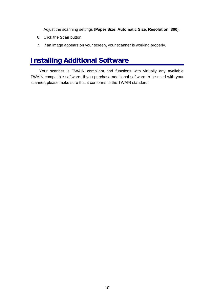Adjust the scanning settings (**Paper Size**: **Automatic Size**, **Resolution**: **300**).

- <span id="page-12-0"></span>6. Click the **Scan** button.
- 7. If an image appears on your screen, your scanner is working properly.

# **Installing Additional Software**

Your scanner is TWAIN compliant and functions with virtually any available TWAIN compatible software. If you purchase additional software to be used with your scanner, please make sure that it conforms to the TWAIN standard.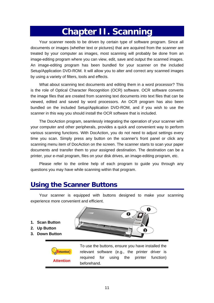# **Chapter II. Scanning**

<span id="page-13-0"></span>Your scanner needs to be driven by certain type of software program. Since all documents or images (whether text or pictures) that are acquired from the scanner are treated by your computer as images, most scanning will probably be done from an image-editing program where you can view, edit, save and output the scanned images. An image-editing program has been bundled for your scanner on the included Setup/Application DVD-ROM. It will allow you to alter and correct any scanned images by using a variety of filters, tools and effects.

What about scanning text documents and editing them in a word processor? This is the role of Optical Character Recognition (OCR) software. OCR software converts the image files that are created from scanning text documents into text files that can be viewed, edited and saved by word processors. An OCR program has also been bundled on the included Setup/Application DVD-ROM, and if you wish to use the scanner in this way you should install the OCR software that is included.

The DocAction program, seamlessly integrating the operation of your scanner with your computer and other peripherals, provides a quick and convenient way to perform various scanning functions. With DocAction, you do not need to adjust settings every time you scan. Simply press any button on the scanner's front panel or click any scanning menu item of DocAction on the screen. The scanner starts to scan your paper documents and transfer them to your assigned destination. The destination can be a printer, your e-mail program, files on your disk drives, an image-editing program, etc.

Please refer to the online help of each program to guide you through any questions you may have while scanning within that program.

# **Using the Scanner Buttons**

Your scanner is equipped with buttons designed to make your scanning experience more convenient and efficient.

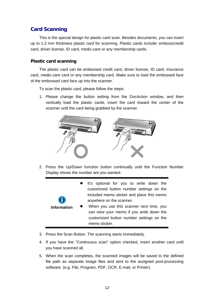#### <span id="page-14-0"></span>**Card Scanning**

This is the special design for plastic card scan. Besides documents, you can insert up to 1.2 mm thickness plastic card for scanning. Plastic cards include: emboss/credit card, driver license, ID card, medic-care or any membership cards.

#### **Plastic card scanning**

The plastic card can be embossed credit card, driver license, ID card, insurance card, medic-care card or any membership card. Make sure to load the embossed face of the embossed card face up into the scanner.

To scan the plastic card, please follow the steps:

1. Please change the button setting from the DocAction window, and then vertically load the plastic cards, insert the card toward the center of the scanner until the card being grabbed by the scanner.



2. Press the Up/Down function button continually until the Function Number Display shows the number are you wanted.

|                    | It's optional for you to write down the<br>customized button number settings on the<br>included memo sticker and place this memo<br>anywhere on the scanner. |
|--------------------|--------------------------------------------------------------------------------------------------------------------------------------------------------------|
| <b>Information</b> | When you use this scanner next time, you<br>can view your memo if you write down the<br>customized button number settings on the<br>memo sticker.            |

- 3. Press the Scan Button. The scanning starts immediately.
- 4. If you have the "Continuous scan" option checked, insert another card until you have scanned all.
- 5. When the scan completes, the scanned images will be saved to the defined file path as separate image files and sent to the assigned post-processing software. (e.g. File, Program, PDF, OCR, E-mail, or Printer).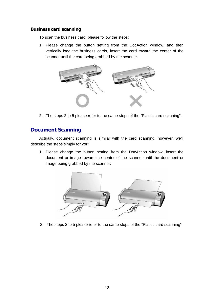#### <span id="page-15-0"></span>**Business card scanning**

To scan the business card, please follow the steps:

1. Please change the button setting from the DocAction window, and then vertically load the business cards, insert the card toward the center of the scanner until the card being grabbed by the scanner.



2. The steps 2 to 5 please refer to the same steps of the "Plastic card scanning".

#### **Document Scanning**

Actually, document scanning is similar with the card scanning, however, we'll describe the steps simply for you:

1. Please change the button setting from the DocAction window, insert the document or image toward the center of the scanner until the document or image being grabbed by the scanner.



2. The steps 2 to 5 please refer to the same steps of the "Plastic card scanning".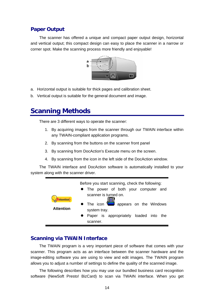#### <span id="page-16-0"></span>**Paper Output**

The scanner has offered a unique and compact paper output design, horizontal and vertical output; this compact design can easy to place the scanner in a narrow or corner spot. Make the scanning process more friendly and enjoyable!



- a. Horizontal output is suitable for thick pages and calibration sheet.
- b. Vertical output is suitable for the general document and image.

### **Scanning Methods**

There are 3 different ways to operate the scanner:

- 1. By acquiring images from the scanner through our TWAIN interface within any TWAIN-compliant application programs.
- 2. By scanning from the buttons on the scanner front panel
- 3. By scanning from DocAction's Execute menu on the screen.
- 4. By scanning from the icon in the left side of the DocAction window.

The TWAIN interface and DocAction software is automatically installed to your system along with the scanner driver.



#### **Scanning via TWAIN Interface**

The TWAIN program is a very important piece of software that comes with your scanner. This program acts as an interface between the scanner hardware and the image-editing software you are using to view and edit images. The TWAIN program allows you to adjust a number of settings to define the quality of the scanned image.

The following describes how you may use our bundled business card recognition software (NewSoft Presto! BizCard) to scan via TWAIN interface. When you get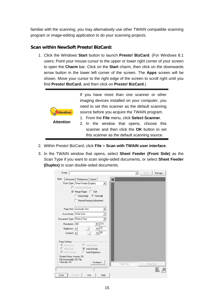familiar with the scanning, you may alternatively use other TWAIN compatible scanning program or image-editing application to do your scanning projects.

#### **Scan within NewSoft Presto! BizCard:**

1. Click the Windows **Start** button to launch **Presto! BizCard**. (For Windows 8.1 users: Point your mouse cursor to the upper or lower right corner of your screen to open the **Charm** bar. Click on the **Start** charm, then click on the downwards arrow button in the lower left corner of the screen. The **Apps** screen will be shown. Move your cursor to the right edge of the screen to scroll right until you find **Presto! BizCard**, and then click on **Presto! BizCard**.)



- 2. Within Presto! BizCard, click **File** > **Scan with TWAIN user interface**.
- 3. In the TWAIN window that opens, select **Sheet Feeder (Front Side)** as the Scan Type if you want to scan single-sided documents, or select **Sheet Feeder (Duplex)** to scan double-sided documents.

| Profile:                                                 |            | Save<br>$\blacktriangledown$ | Manage    |
|----------------------------------------------------------|------------|------------------------------|-----------|
| Main<br><b>an</b><br>Advanced   Preferences   About      |            |                              |           |
| Scan Type: Sheet Feeder (Duplex)<br>$\blacktriangledown$ |            |                              |           |
| Individual Settings                                      |            |                              |           |
| <b>V</b> Merge Pages ■ Split                             |            |                              |           |
| C Horizontally <sup>C</sup> Vertically                   |            |                              |           |
| Manual Merging Adjustment<br>п                           |            |                              |           |
|                                                          |            |                              |           |
| Page Size: Automatic Size                                |            |                              |           |
| Scan Mode: 24-bit Color<br>▼                             |            |                              |           |
| Document Type: Photo & Text                              |            |                              |           |
| 200                                                      |            |                              |           |
| Resolution: 200                                          |            |                              |           |
| 15<br>Brightness: 4                                      |            |                              |           |
| 35<br>Contrast: 4<br>▸│                                  |            |                              |           |
|                                                          |            |                              |           |
| Page Settings:<br>Ⅳ Auto Crop<br>Auto Rotate             |            |                              |           |
| Multi-Crop<br>$\overline{\mathbf{v}}$ Auto Density       |            |                              |           |
| <b>▽</b> Auto Deskew<br>Auto Brightness                  |            |                              |           |
| Rotate: None, Inverse: Off                               |            |                              |           |
| Flip Horizontally: Off, Flip                             |            |                              |           |
| Vertically: Off<br>Configure                             | Front Side |                              | Rear Side |
|                                                          |            |                              |           |
| Preview<br>Exit<br>Scan<br>Help                          |            |                              |           |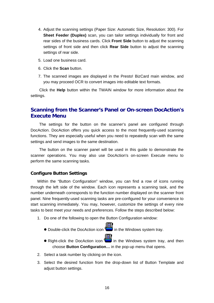- <span id="page-18-0"></span>4. Adjust the scanning settings (Paper Size: Automatic Size, Resolution: 300). For **Sheet Feeder (Duplex)** scan, you can tailor settings individually for front and rear sides of the business cards. Click **Front Side** button to adjust the scanning settings of front side and then click **Rear Side** button to adjust the scanning settings of rear side.
- 5. Load one business card.
- 6. Click the **Scan** button.
- 7. The scanned images are displayed in the Presto! BizCard main window, and you may proceed OCR to convert images into editable text formats.

Click the **Help** button within the TWAIN window for more information about the settings.

#### **Scanning from the Scanner's Panel or On-screen DocAction's Execute Menu**

The settings for the button on the scanner's panel are configured through DocAction. DocAction offers you quick access to the most frequently-used scanning functions. They are especially useful when you need to repeatedly scan with the same settings and send images to the same destination.

The button on the scanner panel will be used in this guide to demonstrate the scanner operations. You may also use DocAction's on-screen Execute menu to perform the same scanning tasks.

#### **Configure Button Settings**

Within the "Button Configuration" window, you can find a row of icons running through the left side of the window. Each icon represents a scanning task, and the number underneath corresponds to the function number displayed on the scanner front panel. Nine frequently-used scanning tasks are pre-configured for your convenience to start scanning immediately. You may, however, customize the settings of every nine tasks to best meet your needs and preferences. Follow the steps described below:

- 1. Do one of the following to open the Button Configuration window:
	- Double-click the DocAction icon in the Windows system tray.
	- **EV** Right-click the DocAction icon **in the Windows system tray, and then** choose **Button Configuration…** in the pop-up menu that opens.
- 2. Select a task number by clicking on the icon.
- 3. Select the desired function from the drop-down list of Button Template and adjust button settings.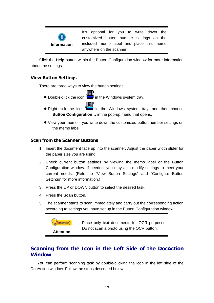<span id="page-19-0"></span>

It's optional for you to write down the customized button number settings on the included memo label and place this memo anywhere on the scanner.

Click the **Help** button within the Button Configuration window for more information about the settings.

#### **View Button Settings**

There are three ways to view the button settings:

- **Double-click the icon in the Windows system tray. •** Double-click the icon **in the Windows system tray.**
- 凬  $\bullet$  Right-click the icon  $\bullet$  in the Windows system tray, and then choose **Button Configuration…** in the pop-up menu that opens.
- View your memo if you write down the customized button number settings on the memo label.

#### **Scan from the Scanner Buttons**

- 1. Insert the document face up into the scanner. Adjust the paper width slider for the paper size you are using.
- 2. Check current button settings by viewing the memo label or the Button Configuration window. If needed, you may also modify settings to meet your current needs. (Refer to "View Button Settings" and "Configure Button Settings" for more information.)
- 3. Press the UP or DOWN button to select the desired task.
- 4. Press the **Scan** button.
- 5. The scanner starts to scan immediately and carry out the corresponding action according to settings you have set up in the Button Configuration window.



#### **Scanning from the Icon in the Left Side of the DocAction Window**

You can perform scanning task by double-clicking the icon in the left side of the DocAction window. Follow the steps described below: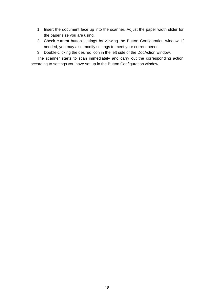- 1. Insert the document face up into the scanner. Adjust the paper width slider for the paper size you are using.
- 2. Check current button settings by viewing the Button Configuration window. If needed, you may also modify settings to meet your current needs.
- 3. Double-clicking the desired icon in the left side of the DocAction window.

The scanner starts to scan immediately and carry out the corresponding action according to settings you have set up in the Button Configuration window.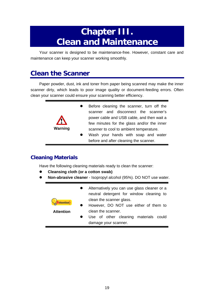# **Chapter III. Clean and Maintenance**

<span id="page-21-0"></span>Your scanner is designed to be maintenance-free. However, constant care and maintenance can keep your scanner working smoothly.

# **Clean the Scanner**

Paper powder, dust, ink and toner from paper being scanned may make the inner scanner dirty, which leads to poor image quality or document-feeding errors. Often clean your scanner could ensure your scanning better efficiency.



#### **Cleaning Materials**

Have the following cleaning materials ready to clean the scanner:

- **•** Cleansing cloth (or a cotton swab)
- **Non-abrasive cleaner** Isopropyl alcohol (95%). DO NOT use water.

| ttention-        | Alternatively you can use glass cleaner or a<br>neutral detergent for window cleaning to<br>clean the scanner glass. |
|------------------|----------------------------------------------------------------------------------------------------------------------|
|                  | However, DO NOT use either of them to                                                                                |
| <b>Attention</b> | clean the scanner.                                                                                                   |
|                  | Use of other cleaning materials could                                                                                |
|                  | damage your scanner.                                                                                                 |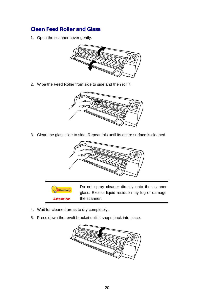#### <span id="page-22-0"></span>**Clean Feed Roller and Glass**

1. Open the scanner cover gently.



2. Wipe the Feed Roller from side to side and then roll it.



3. Clean the glass side to side. Repeat this until its entire surface is cleaned.



Attention-**Attention** 

Do not spray cleaner directly onto the scanner glass. Excess liquid residue may fog or damage the scanner.

- 4. Wait for cleaned areas to dry completely.
- 5. Press down the revolt bracket until it snaps back into place.

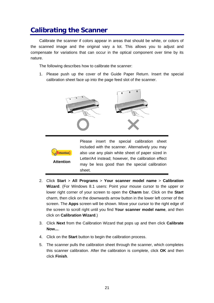# <span id="page-23-0"></span>**Calibrating the Scanner**

Calibrate the scanner if colors appear in areas that should be white, or colors of the scanned image and the original vary a lot. This allows you to adjust and compensate for variations that can occur in the optical component over time by its nature.

The following describes how to calibrate the scanner:

1. Please push up the cover of the Guide Paper Return. Insert the special calibration sheet face up into the page feed slot of the scanner.





- 2. Click **Start** > **All Programs** > **Your scanner model name** > **Calibration Wizard**. (For Windows 8.1 users: Point your mouse cursor to the upper or lower right corner of your screen to open the **Charm** bar. Click on the **Start** charm, then click on the downwards arrow button in the lower left corner of the screen. The **Apps** screen will be shown. Move your cursor to the right edge of the screen to scroll right until you find **Your scanner model name**, and then click on **Calibration Wizard**.)
- 3. Click **Next** from the Calibration Wizard that pops up and then click **Calibrate Now...**.
- 4. Click on the **Start** button to begin the calibration process.
- 5. The scanner pulls the calibration sheet through the scanner, which completes this scanner calibration. After the calibration is complete, click **OK** and then click **Finish**.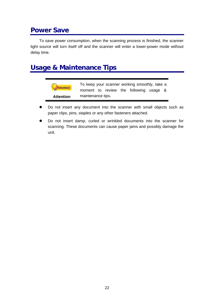# <span id="page-24-0"></span>**Power Save**

To save power consumption, when the scanning process is finished, the scanner light source will turn itself off and the scanner will enter a lower-power mode without delay time.

### **Usage & Maintenance Tips**

| <b>Attention-</b> | To keep your scanner working smoothly, take a |  |  |  |                                        |  |  |
|-------------------|-----------------------------------------------|--|--|--|----------------------------------------|--|--|
|                   |                                               |  |  |  | moment to review the following usage & |  |  |
| <b>Attention</b>  | maintenance tips.                             |  |  |  |                                        |  |  |

- Do not insert any document into the scanner with small objects such as paper clips, pins, staples or any other fasteners attached.
- Do not insert damp, curled or wrinkled documents into the scanner for scanning. These documents can cause paper jams and possibly damage the unit.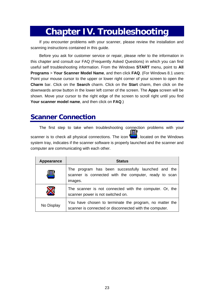# **Chapter IV. Troubleshooting**

<span id="page-25-0"></span>If you encounter problems with your scanner, please review the installation and scanning instructions contained in this guide.

Before you ask for customer service or repair, please refer to the information in this chapter and consult our FAQ (Frequently Asked Questions) in which you can find useful self troubleshooting information. From the Windows **START** menu, point to **All Programs** > **Your Scanner Model Name**, and then click **FAQ**. (For Windows 8.1 users: Point your mouse cursor to the upper or lower right corner of your screen to open the **Charm** bar. Click on the **Search** charm. Click on the **Start** charm, then click on the downwards arrow button in the lower left corner of the screen. The **Apps** screen will be shown. Move your cursor to the right edge of the screen to scroll right until you find **Your scanner model name**, and then click on **FAQ**.)

### **Scanner Connection**

The first step to take when troubleshooting connection problems with your 圓 scanner is to check all physical connections. The icon  $\Box$ , located on the Windows system tray, indicates if the scanner software is properly launched and the scanner and computer are communicating with each other.

| Appearance | <b>Status</b>                                                                                                          |
|------------|------------------------------------------------------------------------------------------------------------------------|
| 녝          | The program has been successfully launched and the<br>scanner is connected with the computer, ready to scan<br>images. |
|            | The scanner is not connected with the computer. Or, the<br>scanner power is not switched on.                           |
| No Display | You have chosen to terminate the program, no matter the<br>scanner is connected or disconnected with the computer.     |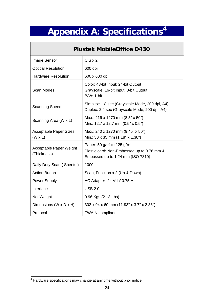# **Appendix A: Specifications[4](#page-26-1)**

<span id="page-26-0"></span> $\Gamma$ 

| <b>Plustek MobileOffice D430</b>                |                                                                                                                                     |  |  |  |
|-------------------------------------------------|-------------------------------------------------------------------------------------------------------------------------------------|--|--|--|
| Image Sensor                                    | $CIS \times 2$                                                                                                                      |  |  |  |
| <b>Optical Resolution</b>                       | 600 dpi                                                                                                                             |  |  |  |
| <b>Hardware Resolution</b>                      | 600 x 600 dpi                                                                                                                       |  |  |  |
| Scan Modes                                      | Color: 48-bit Input; 24-bit Output<br>Grayscale: 16-bit Input; 8-bit Output<br><b>B/W: 1-bit</b>                                    |  |  |  |
| <b>Scanning Speed</b>                           | Simplex: 1.8 sec (Grayscale Mode, 200 dpi, A4)<br>Duplex: 2.4 sec (Grayscale Mode, 200 dpi, A4)                                     |  |  |  |
| Scanning Area (W x L)                           | Max.: 216 x 1270 mm (8.5" x 50")<br>Min.: 12.7 x 12.7 mm (0.5" x 0.5")                                                              |  |  |  |
| <b>Acceptable Paper Sizes</b><br>$(W \times L)$ | Max.: 240 x 1270 mm (9.45" x 50")<br>Min.: 30 x 35 mm (1.18" x 1.38")                                                               |  |  |  |
| Acceptable Paper Weight<br>(Thickness)          | Paper: 50 g/ $\text{m}^2$ to 125 g/ $\text{m}^2$<br>Plastic card: Non-Embossed up to 0.76 mm &<br>Embossed up to 1.24 mm (ISO 7810) |  |  |  |
| Daily Duty Scan (Sheets)                        | 1000                                                                                                                                |  |  |  |
| <b>Action Button</b>                            | Scan, Function x 2 (Up & Down)                                                                                                      |  |  |  |
| <b>Power Supply</b>                             | AC Adapter: 24 Vdc/ 0.75 A                                                                                                          |  |  |  |
| Interface                                       | <b>USB 2.0</b>                                                                                                                      |  |  |  |
| Net Weight                                      | 0.96 Kgs (2.13 Lbs)                                                                                                                 |  |  |  |
| Dimensions (W x D x H)                          | 303 x 94 x 60 mm (11.93" x 3.7" x 2.36")                                                                                            |  |  |  |
| Protocol                                        | <b>TWAIN compliant</b>                                                                                                              |  |  |  |

<span id="page-26-1"></span> 4 Hardware specifications may change at any time without prior notice.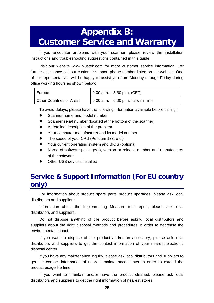# <span id="page-27-0"></span>**Appendix B: Customer Service and Warranty**

If you encounter problems with your scanner, please review the installation instructions and troubleshooting suggestions contained in this guide.

Visit our website [www.plustek.com](http://www.plustek.com/) for more customer service information. For further assistance call our customer support phone number listed on the website. One of our representatives will be happy to assist you from Monday through Friday during office working hours as shown below:

| Europe                          | $9:00$ a.m. $-5:30$ p.m. (CET)    |
|---------------------------------|-----------------------------------|
| <b>Other Countries or Areas</b> | 9:00 a.m. – 6:00 p.m. Taiwan Time |

To avoid delays, please have the following information available before calling:

- Scanner name and model number
- Scanner serial number (located at the bottom of the scanner)
- A detailed description of the problem
- Your computer manufacturer and its model number
- The speed of your CPU (Pentium 133, etc.)
- Your current operating system and BIOS (optional)
- Name of software package(s), version or release number and manufacturer of the software
- Other USB devices installed

# **Service & Support Information (For EU country only)**

For information about product spare parts product upgrades, please ask local distributors and suppliers.

Information about the Implementing Measure test report, please ask local distributors and suppliers.

Do not dispose anything of the product before asking local distributors and suppliers about the right disposal methods and procedures in order to decrease the environmental impact.

If you want to dispose of the product and/or an accessory, please ask local distributors and suppliers to get the contact information of your nearest electronic disposal center.

If you have any maintenance inquiry, please ask local distributors and suppliers to get the contact information of nearest maintenance center in order to extend the product usage life time.

If you want to maintain and/or have the product cleaned, please ask local distributors and suppliers to get the right information of nearest stores.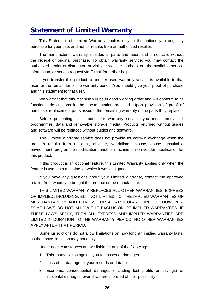### <span id="page-28-0"></span>**Statement of Limited Warranty**

This Statement of Limited Warranty applies only to the options you originally purchase for your use, and not for resale, from an authorized reseller.

The manufacturer warranty includes all parts and labor, and is not valid without the receipt of original purchase. To obtain warranty service, you may contact the authorized dealer or distributor, or visit our website to check out the available service information, or send a request via E-mail for further help.

If you transfer this product to another user, warranty service is available to that user for the remainder of the warranty period. You should give your proof of purchase and this statement to that user.

We warrant that this machine will be in good working order and will conform to its functional descriptions in the documentation provided. Upon provision of proof of purchase, replacement parts assume the remaining warranty of the parts they replace.

Before presenting this product for warranty service, you must remove all programmes, data and removable storage media. Products returned without guides and software will be replaced without guides and software.

This Limited Warranty service does not provide for carry-in exchange when the problem results from accident, disaster, vandalism, misuse, abuse, unsuitable environment, programme modification, another machine or non-vendor modification for this product.

If this product is an optional feature, this Limited Warranty applies only when the feature is used in a machine for which it was designed.

If you have any questions about your Limited Warranty, contact the approved retailer from whom you bought the product or the manufacturer.

THIS LIMITED WARRANTY REPLACES ALL OTHER WARRANTIES, EXPRESS OR IMPLIED, INCLUDING, BUT NOT LIMITED TO, THE IMPLIED WARRANTIES OF MERCHANTABLITY AND FITNESS FOR A PARTICULAR PURPOSE. HOWEVER, SOME LAWS DO NOT ALLOW THE EXCLUSION OF IMPLIED WARRANTIES. IF THESE LAWS APPLY, THEN ALL EXPRESS AND IMPLIED WARRANTIES ARE LIMITED IN DURATION TO THE WARRANTY PERIOD. NO OTHER WARRANTIES APPLY AFTER THAT PERIOD.

Some jurisdictions do not allow limitations on how long an implied warranty lasts, so the above limitation may not apply.

Under no circumstances are we liable for any of the following:

- 1. Third party claims against you for losses or damages.
- 2. Loss of, or damage to, your records or data; or
- 3. Economic consequential damages (including lost profits or savings) or incidental damages, even if we are informed of their possibility.